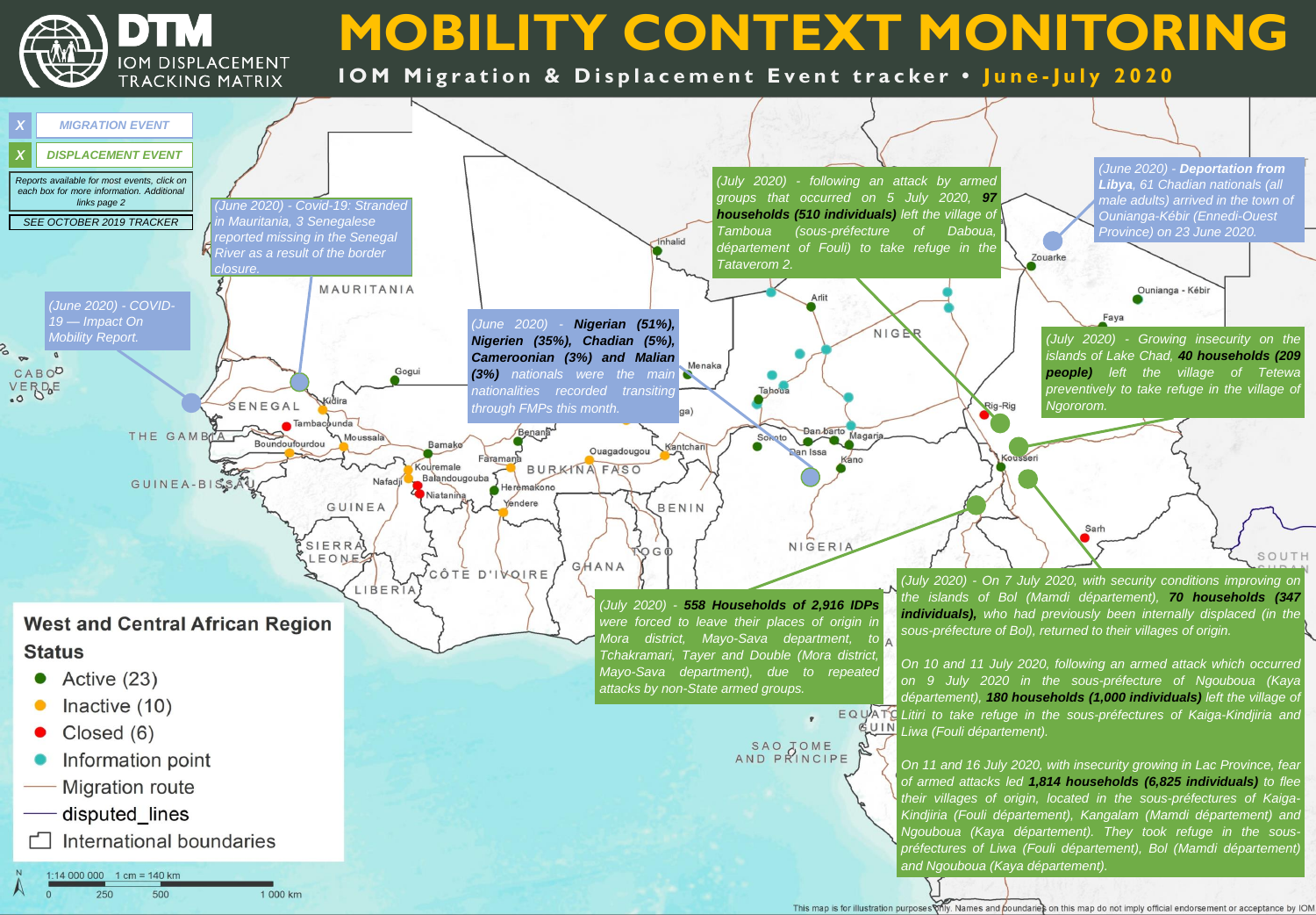DTM **IOM DISPLACEMENT** TRACKING MATRIX

# **MOBILITY CONTEXT MONITORING**

## **IOM Migration & Displacement Event tracker . June-July 2020**